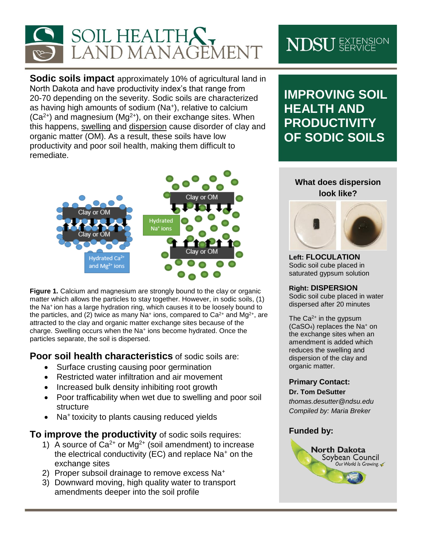

**Sodic soils impact** approximately 10% of agricultural land in North Dakota and have productivity index's that range from 20-70 depending on the severity. Sodic soils are characterized as having high amounts of sodium (Na<sup>+</sup> ), relative to calcium  $(Ca<sup>2+</sup>)$  and magnesium  $(Mg<sup>2+</sup>)$ , on their exchange sites. When this happens, swelling and dispersion cause disorder of clay and organic matter (OM). As a result, these soils have low productivity and poor soil health, making them difficult to remediate.



**Figure 1.** Calcium and magnesium are strongly bound to the clay or organic matter which allows the particles to stay together. However, in sodic soils, (1) the Na<sup>+</sup>ion has a large hydration ring, which causes it to be loosely bound to the particles, and (2) twice as many Na<sup>+</sup> ions, compared to  $Ca^{2+}$  and Mg<sup>2+</sup>, are attracted to the clay and organic matter exchange sites because of the charge. Swelling occurs when the Na<sup>+</sup> ions become hydrated. Once the particles separate, the soil is dispersed.

**Poor soil health characteristics** of sodic soils are:

- Surface crusting causing poor germination
- Restricted water infiltration and air movement
- Increased bulk density inhibiting root growth
- Poor trafficability when wet due to swelling and poor soil structure
- Na<sup>+</sup> toxicity to plants causing reduced yields

**To improve the productivity** of sodic soils requires:

- 1) A source of  $Ca^{2+}$  or Mg<sup>2+</sup> (soil amendment) to increase the electrical conductivity (EC) and replace Na<sup>+</sup> on the exchange sites
- 2) Proper subsoil drainage to remove excess Na<sup>+</sup>
- 3) Downward moving, high quality water to transport amendments deeper into the soil profile

# **NDSU** EXTENSION

**IMPROVING SOIL HEALTH AND PRODUCTIVITY OF SODIC SOILS**

## **What does dispersion look like?**



**Left: FLOCULATION** Sodic soil cube placed in saturated gypsum solution

### **Right: DISPERSION**

Sodic soil cube placed in water dispersed after 20 minutes

The  $Ca<sup>2+</sup>$  in the gypsum (CaSO4) replaces the Na<sup>+</sup> on the exchange sites when an amendment is added which reduces the swelling and dispersion of the clay and organic matter.

### **Primary Contact:**

#### **Dr. Tom DeSutter**

*thomas.desutter@ndsu.edu Compiled by: Maria Breker*

### **Funded by:**